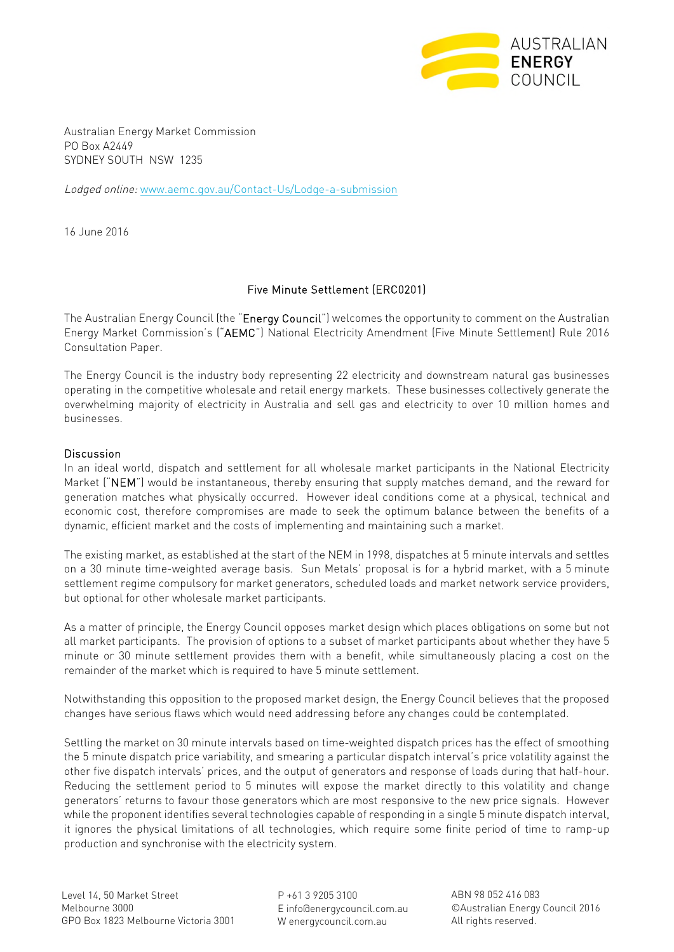

Australian Energy Market Commission PO Box A2449 SYDNEY SOUTH NSW 1235

Lodged online: [www.aemc.gov.au/Contact-Us/Lodge-a-submission](http://www.aemc.gov.au/Contact-Us/Lodge-a-submission)

16 June 2016

## Five Minute Settlement (ERC0201)

The Australian Energy Council (the "Energy Council") welcomes the opportunity to comment on the Australian Energy Market Commission's ("AEMC") National Electricity Amendment (Five Minute Settlement) Rule 2016 Consultation Paper.

The Energy Council is the industry body representing 22 electricity and downstream natural gas businesses operating in the competitive wholesale and retail energy markets. These businesses collectively generate the overwhelming majority of electricity in Australia and sell gas and electricity to over 10 million homes and businesses.

## Discussion

In an ideal world, dispatch and settlement for all wholesale market participants in the National Electricity Market ("NEM") would be instantaneous, thereby ensuring that supply matches demand, and the reward for generation matches what physically occurred. However ideal conditions come at a physical, technical and economic cost, therefore compromises are made to seek the optimum balance between the benefits of a dynamic, efficient market and the costs of implementing and maintaining such a market.

The existing market, as established at the start of the NEM in 1998, dispatches at 5 minute intervals and settles on a 30 minute time-weighted average basis. Sun Metals' proposal is for a hybrid market, with a 5 minute settlement regime compulsory for market generators, scheduled loads and market network service providers, but optional for other wholesale market participants.

As a matter of principle, the Energy Council opposes market design which places obligations on some but not all market participants. The provision of options to a subset of market participants about whether they have 5 minute or 30 minute settlement provides them with a benefit, while simultaneously placing a cost on the remainder of the market which is required to have 5 minute settlement.

Notwithstanding this opposition to the proposed market design, the Energy Council believes that the proposed changes have serious flaws which would need addressing before any changes could be contemplated.

Settling the market on 30 minute intervals based on time-weighted dispatch prices has the effect of smoothing the 5 minute dispatch price variability, and smearing a particular dispatch interval's price volatility against the other five dispatch intervals' prices, and the output of generators and response of loads during that half-hour. Reducing the settlement period to 5 minutes will expose the market directly to this volatility and change generators' returns to favour those generators which are most responsive to the new price signals. However while the proponent identifies several technologies capable of responding in a single 5 minute dispatch interval, it ignores the physical limitations of all technologies, which require some finite period of time to ramp-up production and synchronise with the electricity system.

P +61 3 9205 3100 E info@energycouncil.com.au W energycouncil.com.au

ABN 98 052 416 083 ©Australian Energy Council 2016 All rights reserved.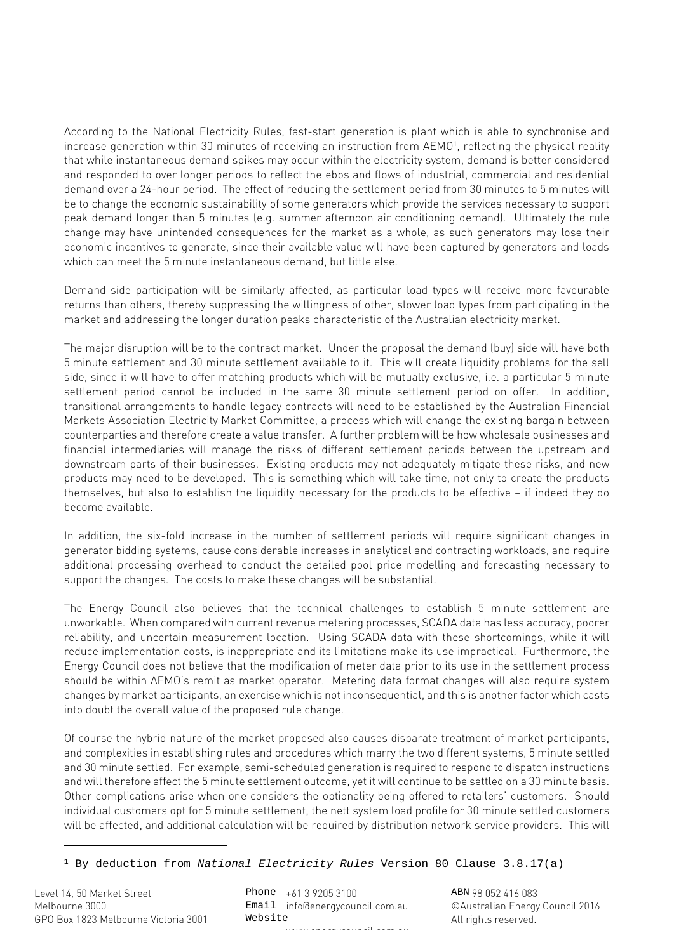According to the National Electricity Rules, fast-start generation is plant which is able to synchronise and increase generation within 30 minutes of receiving an instruction from AEMO<sup>[1](#page-1-0)</sup>, reflecting the physical reality that while instantaneous demand spikes may occur within the electricity system, demand is better considered and responded to over longer periods to reflect the ebbs and flows of industrial, commercial and residential demand over a 24-hour period. The effect of reducing the settlement period from 30 minutes to 5 minutes will be to change the economic sustainability of some generators which provide the services necessary to support peak demand longer than 5 minutes (e.g. summer afternoon air conditioning demand). Ultimately the rule change may have unintended consequences for the market as a whole, as such generators may lose their economic incentives to generate, since their available value will have been captured by generators and loads which can meet the 5 minute instantaneous demand, but little else.

Demand side participation will be similarly affected, as particular load types will receive more favourable returns than others, thereby suppressing the willingness of other, slower load types from participating in the market and addressing the longer duration peaks characteristic of the Australian electricity market.

The major disruption will be to the contract market. Under the proposal the demand (buy) side will have both 5 minute settlement and 30 minute settlement available to it. This will create liquidity problems for the sell side, since it will have to offer matching products which will be mutually exclusive, i.e. a particular 5 minute settlement period cannot be included in the same 30 minute settlement period on offer. In addition, transitional arrangements to handle legacy contracts will need to be established by the Australian Financial Markets Association Electricity Market Committee, a process which will change the existing bargain between counterparties and therefore create a value transfer. A further problem will be how wholesale businesses and financial intermediaries will manage the risks of different settlement periods between the upstream and downstream parts of their businesses. Existing products may not adequately mitigate these risks, and new products may need to be developed. This is something which will take time, not only to create the products themselves, but also to establish the liquidity necessary for the products to be effective – if indeed they do become available.

In addition, the six-fold increase in the number of settlement periods will require significant changes in generator bidding systems, cause considerable increases in analytical and contracting workloads, and require additional processing overhead to conduct the detailed pool price modelling and forecasting necessary to support the changes. The costs to make these changes will be substantial.

The Energy Council also believes that the technical challenges to establish 5 minute settlement are unworkable. When compared with current revenue metering processes, SCADA data has less accuracy, poorer reliability, and uncertain measurement location. Using SCADA data with these shortcomings, while it will reduce implementation costs, is inappropriate and its limitations make its use impractical. Furthermore, the Energy Council does not believe that the modification of meter data prior to its use in the settlement process should be within AEMO's remit as market operator. Metering data format changes will also require system changes by market participants, an exercise which is not inconsequential, and this is another factor which casts into doubt the overall value of the proposed rule change.

Of course the hybrid nature of the market proposed also causes disparate treatment of market participants, and complexities in establishing rules and procedures which marry the two different systems, 5 minute settled and 30 minute settled. For example, semi-scheduled generation is required to respond to dispatch instructions and will therefore affect the 5 minute settlement outcome, yet it will continue to be settled on a 30 minute basis. Other complications arise when one considers the optionality being offered to retailers' customers. Should individual customers opt for 5 minute settlement, the nett system load profile for 30 minute settled customers will be affected, and additional calculation will be required by distribution network service providers. This will

Phone +61 3 9205 3100 Email info@energycouncil.com.au Website ww.energycouncil.com.autom.com

ABN 98 052 416 083 ©Australian Energy Council 2016 All rights reserved.

<span id="page-1-0"></span><sup>1</sup> By deduction from *National Electricity Rules* Version 80 Clause 3.8.17(a)